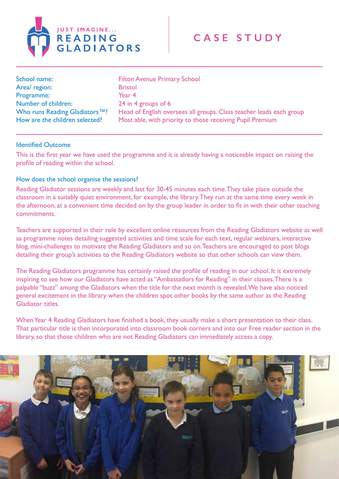

| School name:                                                    | <b>Filton Avenue Primary School</b>                                                                                              |
|-----------------------------------------------------------------|----------------------------------------------------------------------------------------------------------------------------------|
| Area/ region:                                                   | <b>Bristol</b>                                                                                                                   |
| Programme:                                                      | Year 4                                                                                                                           |
| Number of children:                                             | 24 in 4 groups of 6                                                                                                              |
| Who runs Reading Gladiators™?<br>How are the children selected? | Head of English oversees all groups. Class teacher leads each group<br>Most able, with priority to those receiving Pupil Premium |

## Identified Outcome

This is the first year we have used the programme and it is already having a noticeable impact on raising the profile of reading within the school.

## How does the school organise the sessions?

Reading Gladiator sessions are weekly and last for 30-45 minutes each time. They take place outside the classroom in a suitably quiet environment, for example, the library. They run at the same time every week in the afternoon, at a convenient time decided on by the group leader in order to fit in with their other teaching commitments.

Teachers are supported in their role by excellent online resources from the Reading Gladiators website as well as programme notes detailing suggested activities and time scale for each text, regular webinars, interactive blog, mini-challenges to motivate the Reading Gladiators and so on. Teachers are encouraged to post blogs detailing their group's activities to the Reading Gladiators website so that other schools can view them.

The Reading Gladiators programme has certainly raised the profile of reading in our school. It is extremely inspiring to see how our Gladiators have acted as "Ambassadors for Reading" in their classes. There is a palpable "buzz" among the Gladiators when the title for the next month is revealed. We have also noticed general excitement in the library when the children spot other books by the same author as the Reading Gladiator titles.

When Year 4 Reading Gladiators have finished a book, they usually make a short presentation to their class. That particular title is then incorporated into classroom book corners and into our Free reader section in the library, so that those children who are not Reading Gladiators can immediately access a copy.